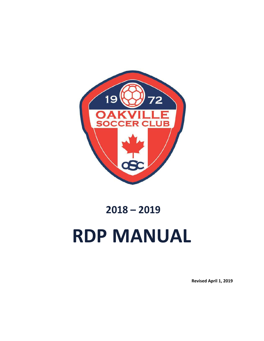

# **2018 – 2019 RDP MANUAL**

**Revised April 1, 2019**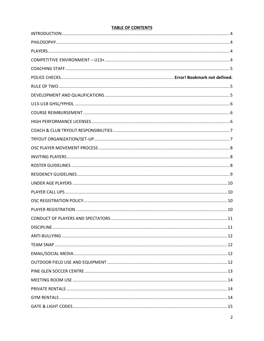## **TABLE OF CONTENTS**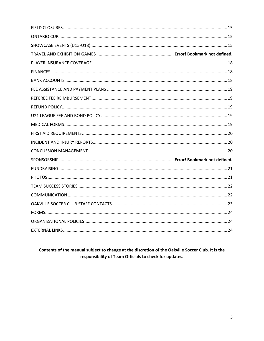Contents of the manual subject to change at the discretion of the Oakville Soccer Club. It is the responsibility of Team Officials to check for updates.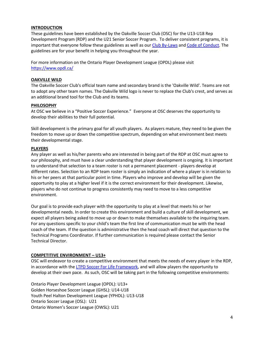#### <span id="page-3-0"></span>**INTRODUCTION**

These guidelines have been established by the Oakville Soccer Club (OSC) for the U13-U18 Rep Development Program (RDP) and the U21 Senior Soccer Program. To deliver consistent programs, it is important that everyone follow these guidelines as well as our [Club By-Laws](http://www.oakvillesoccer.ca/images/publications/2016/club-info/org-policies/osc-general-by-law-1-2015.pdf) an[d Code of Conduct.](http://www.oakvillesoccer.ca/images/publications/2015/Club-Info/osc-fair-play-code-of-conduct.pdf) The guidelines are for your benefit in helping you throughout the year.

For more information on the Ontario Player Development League (OPDL) please visit <https://www.opdl.ca/>

#### **OAKVILLE WILD**

The Oakville Soccer Club's official team name and secondary brand is the 'Oakville Wild'. Teams are not to adopt any other team names. The Oakville Wild logo is never to replace the Club's crest, and serves as an additional brand tool for the Club and its teams.

### <span id="page-3-1"></span>**PHILOSOPHY**

At OSC we believe in a "Positive Soccer Experience." Everyone at OSC deserves the opportunity to develop their abilities to their full potential.

Skill development is the primary goal for all youth players. As players mature, they need to be given the freedom to move up or down the competitive spectrum, depending on what environment best meets their developmental stage.

### <span id="page-3-2"></span>**PLAYERS**

Any player as well as his/her parents who are interested in being part of the RDP at OSC must agree to our philosophy, and must have a clear understanding that player development is ongoing. It is important to understand that selection to a team roster is not a permanent placement - players develop at different rates. Selection to an RDP team roster is simply an indication of where a player is in relation to his or her peers at that particular point in time. Players who improve and develop will be given the opportunity to play at a higher level if it is the correct environment for their development. Likewise, players who do not continue to progress consistently may need to move to a less competitive environment.

Our goal is to provide each player with the opportunity to play at a level that meets his or her developmental needs. In order to create this environment and build a culture of skill development, we expect all players being asked to move up or down to make themselves available to the inquiring team. For any questions specific to your child's team the first line of communication must be with the head coach of the team. If the question is administrative then the head coach will direct that question to the Technical Programs Coordinator. If further communication is required please contact the Senior Technical Director.

#### <span id="page-3-3"></span>**COMPETITIVE ENVIRONMENT – U13+**

OSC will endeavor to create a competitive environment that meets the needs of every player in the RDP, in accordance with the [LTPD Soccer For Life Framework,](http://www.canadasoccer.com/files/CSA_2009_W2WC_Brochure_EN.pdf) and will allow players the opportunity to develop at their own pace. As such, OSC will be taking part in the following competitive environments:

Ontario Player Development League (OPDL): U13+ Golden Horseshoe Soccer League (GHSL): U14-U18 Youth Peel Halton Development League (YPHDL): U13-U18 Ontario Soccer League (OSL): U21 Ontario Women's Soccer League (OWSL): U21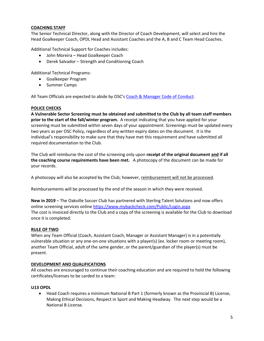### <span id="page-4-0"></span>**COACHING STAFF**

The Senior Technical Director, along with the Director of Coach Development, will select and hire the Head Goalkeeper Coach, OPDL Head and Assistant Coaches and the A, B and C Team Head Coaches.

Additional Technical Support for Coaches includes:

- John Moreira Head Goalkeeper Coach
- Derek Salvador Strength and Conditioning Coach

Additional Technical Programs:

- Goalkeeper Program
- Summer Camps

All Team Officials are expected to abide by OSC's [Coach & Manager Code of Conduct.](http://www.oakvillesoccer.ca/images/publications/2016/club-info/org-policies/osc-coach-manager-code-of-conduct.pdf)

#### **POLICE CHECKS**

**A Vulnerable Sector Screening must be obtained and submitted to the Club by all team staff members prior to the start of the fall/winter program.** A receipt indicating that you have applied for your screening must be submitted within seven days of your appointment. Screenings must be updated every two years as per OSC Policy, regardless of any written expiry dates on the document. It is the individual's responsibility to make sure that they have met this requirement and have submitted all required documentation to the Club.

The Club will reimburse the cost of the screening only upon **receipt of the original document and if all the coaching course requirements have been met.** A photocopy of the document can be made for your records.

A photocopy will also be accepted by the Club; however, reimbursement will not be processed.

Reimbursements will be processed by the end of the season in which they were received.

**New in 2019** – The Oakville Soccer Club has partnered with Sterling Talent Solutions and now offers online screening services online<https://www.mybackcheck.com/Public/Login.aspx> The cost is invoiced directly to the Club and a copy of the screening is available for the Club to download once it is completed.

#### <span id="page-4-1"></span>**RULE OF TWO**

When any Team Official (Coach, Assistant Coach, Manager or Assistant Manager) is in a potentially vulnerable situation or any one-on-one situations with a player(s) (ex. locker room or meeting room), another Team Official, adult of the same gender, or the parent/guardian of the player(s) must be present.

#### <span id="page-4-2"></span>**DEVELOPMENT AND QUALIFICATIONS**

All coaches are encouraged to continue their coaching education and are required to hold the following certificates/licenses to be carded to a team:

#### **U13 OPDL**

 Head Coach requires a minimum National B Part 1 (formerly known as the Provincial B) License, Making Ethical Decisions, Respect in Sport and Making Headway. The next step would be a National B License.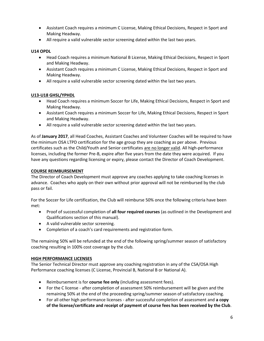- Assistant Coach requires a minimum C License, Making Ethical Decisions, Respect in Sport and Making Headway.
- All require a valid vulnerable sector screening dated within the last two years.

#### **U14 OPDL**

- Head Coach requires a minimum National B License, Making Ethical Decisions, Respect in Sport and Making Headway.
- Assistant Coach requires a minimum C License, Making Ethical Decisions, Respect in Sport and Making Headway.
- All require a valid vulnerable sector screening dated within the last two years.

## <span id="page-5-0"></span>**U13-U18 GHSL/YPHDL**

- Head Coach requires a minimum Soccer for Life, Making Ethical Decisions, Respect in Sport and Making Headway.
- Assistant Coach requires a minimum Soccer for Life, Making Ethical Decisions, Respect in Sport and Making Headway.
- All require a valid vulnerable sector screening dated within the last two years.

As of **January 2017**, all Head Coaches, Assistant Coaches and Volunteer Coaches will be required to have the minimum OSA LTPD certification for the age group they are coaching as per above. Previous certificates such as the Child/Youth and Senior certificates are no longer valid. All high-performance licenses, including the former Pre-B, expire after five years from the date they were acquired. If you have any questions regarding licensing or expiry, please contact the Director of Coach Development.

#### <span id="page-5-1"></span>**COURSE REIMBURSEMENT**

The Director of Coach Development must approve any coaches applying to take coaching licenses in advance. Coaches who apply on their own without prior approval will not be reimbursed by the club pass or fail.

For the Soccer for Life certification, the Club will reimburse 50% once the following criteria have been met:

- Proof of successful completion of **all four required courses** (as outlined in the Development and Qualifications section of this manual).
- A valid vulnerable sector screening.
- Completion of a coach's card requirements and registration form.

The remaining 50% will be refunded at the end of the following spring/summer season of satisfactory coaching resulting in 100% cost coverage by the club.

#### <span id="page-5-2"></span>**HIGH PERFORMANCE LICENSES**

The Senior Technical Director must approve any coaching registration in any of the CSA/OSA High Performance coaching licenses (C License, Provincial B, National B or National A).

- Reimbursement is for **course fee only** (including assessment fees).
- For the C license after completion of assessment 50% reimbursement will be given and the remaining 50% at the end of the proceeding spring/summer season of satisfactory coaching.
- For all other high performance licenses after successful completion of assessment and **a copy of the license/certificate and receipt of payment of course fees has been received by the Club**.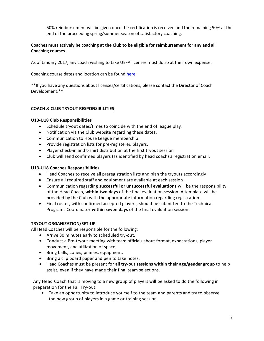50% reimbursement will be given once the certification is received and the remaining 50% at the end of the proceeding spring/summer season of satisfactory coaching.

## **Coaches must actively be coaching at the Club to be eligible for reimbursement for any and all Coaching courses**.

As of January 2017, any coach wishing to take UEFA licenses must do so at their own expense.

Coaching course dates and location can be found [here.](http://www.oakvillesoccer.ca/coaching-resources/adp-rdp/coaching-development)

\*\*If you have any questions about licenses/certifications, please contact the Director of Coach Development.\*\*

## <span id="page-6-0"></span>**COACH & CLUB TRYOUT RESPONSIBILITIES**

#### **U13-U18 Club Responsibilities**

- Schedule tryout dates/times to coincide with the end of league play.
- Notification via the Club website regarding these dates.
- Communication to House League membership.
- Provide registration lists for pre-registered players.
- Player check-in and t-shirt distribution at the first tryout session
- Club will send confirmed players (as identified by head coach) a registration email.

#### **U13-U18 Coaches Responsibilities**

- Head Coaches to receive all preregistration lists and plan the tryouts accordingly.
- Ensure all required staff and equipment are available at each session.
- Communication regarding **successful or unsuccessful evaluations** will be the responsibility of the Head Coach, **within two days** of the final evaluation session. A template will be provided by the Club with the appropriate information regarding registration.
- Final roster, with confirmed accepted players, should be submitted to the Technical Programs Coordinator **within seven days** of the final evaluation session.

#### <span id="page-6-1"></span>**TRYOUT ORGANIZATION/SET-UP**

All Head Coaches will be responsible for the following:

- Arrive 30 minutes early to scheduled try-out.
- Conduct a Pre-tryout meeting with team officials about format, expectations, player movement, and utilization of space.
- Bring balls, cones, pinnies, equipment.
- Bring a clip board paper and pen to take notes.
- Head Coaches must be present for **all try-out sessions within their age/gender group** to help assist, even if they have made their final team selections.

Any Head Coach that is moving to a new group of players will be asked to do the following in preparation for the Fall Try-out:

• Take an opportunity to introduce yourself to the team and parents and try to observe the new group of players in a game or training session.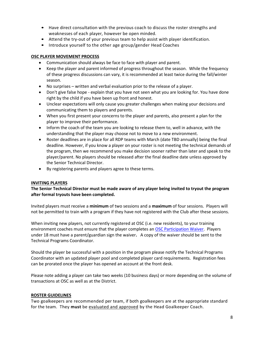- Have direct consultation with the previous coach to discuss the roster strengths and weaknesses of each player, however be open minded.
- Attend the try-out of your previous team to help assist with player identification.
- Introduce yourself to the other age group/gender Head Coaches

#### <span id="page-7-0"></span>**OSC PLAYER MOVEMENT PROCESS**

- Communication should always be face to face with player and parent.
- Keep the player and parent informed of progress throughout the season. While the frequency of these progress discussions can vary, it is recommended at least twice during the fall/winter season.
- No surprises written and verbal evaluation prior to the release of a player.
- Don't give false hope explain that you have not seen what you are looking for. You have done right by the child if you have been up front and honest.
- Unclear expectations will only cause you greater challenges when making your decisions and communicating them to players and parents.
- When you first present your concerns to the player and parents, also present a plan for the player to improve their performance.
- Inform the coach of the team you are looking to release them to, well in advance, with the understanding that the player may choose not to move to a new environment.
- Roster deadlines are in place for all RDP teams with March (date TBD annually) being the final deadline. However, if you know a player on your roster is not meeting the technical demands of the program, then we recommend you make decision sooner rather than later and speak to the player/parent. No players should be released after the final deadline date unless approved by the Senior Technical Director.
- By registering parents and players agree to these terms.

#### <span id="page-7-1"></span>**INVITING PLAYERS**

### **The Senior Technical Director must be made aware of any player being invited to tryout the program after formal tryouts have been completed.**

Invited players must receive a **minimum** of two sessions and a **maximum** of four sessions. Players will not be permitted to train with a program if they have not registered with the Club after these sessions.

When inviting new players, not currently registered at OSC (i.e. new residents), to your training environment coaches must ensure that the player completes an [OSC Participation Waiver.](http://www.oakvillesoccer.ca/images/publications/2017/adp-rdp/policies-documents/adp-participation-waiver.pdf) Players under 18 must have a parent/guardian sign the waiver**.** A copy of the waiver should be sent to the Technical Programs Coordinator.

Should the player be successful with a position in the program please notify the Technical Programs Coordinator with an updated player pool and completed player card requirements. Registration fees can be prorated once the player has opened an account at the front desk.

Please note adding a player can take two weeks (10 business days) or more depending on the volume of transactions at OSC as well as at the District.

#### <span id="page-7-2"></span>**ROSTER GUIDELINES**

Two goalkeepers are recommended per team, if both goalkeepers are at the appropriate standard for the team. They **must** be evaluated and approved by the Head Goalkeeper Coach.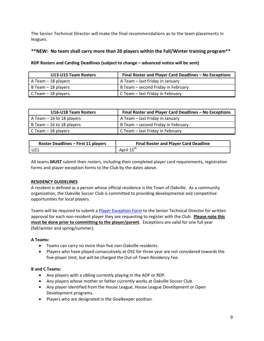The Senior Technical Director will make the final recommendations as to the team placements in leagues.

## **\*\*NEW: No team shall carry more than 20 players within the Fall/Winter training program\*\***

## **RDP Rosters and Carding Deadlines (subject to change – advanced notice will be sent)**

| U13-U15 Team Rosters | Final Roster and Player Card Deadlines - No Exceptions |  |
|----------------------|--------------------------------------------------------|--|
| A Team – 18 players  | A Team - last Friday in January                        |  |
| B Team – 18 players  | B Team - second Friday in February                     |  |
| C Team – 18 players  | C Team – last Friday in February                       |  |

| U16-U18 Team Rosters       | Final Roster and Player Card Deadlines - No Exceptions |  |
|----------------------------|--------------------------------------------------------|--|
| A Team $-16$ to 18 players | A Team - last Friday in January                        |  |
| B Team – 16 to 18 players  | B Team – second Friday in February                     |  |
| C Team $-$ 18 players      | C Team – last Friday in February                       |  |

| <b>Roster Deadlines - First 11 players</b> | <b>Final Roster and Player Card Deadline</b> |
|--------------------------------------------|----------------------------------------------|
| U21                                        | April 15 <sup>th</sup>                       |

All teams **MUST** submit their rosters, including their completed player card requirements, registration forms and player exception forms to the Club by the dates above.

#### <span id="page-8-0"></span>**RESIDENCY GUIDELINES**

A resident is defined as a person whose official residence is the Town of Oakville. As a community organization, the Oakville Soccer Club is committed to providing developmental and competitive opportunities for local players.

Teams will be required to submit a [Player Exception Form](http://www.oakvillesoccer.ca/images/publications/2017/adp-rdp/policies-documents/osc-player-exception-form.pdf) to the Senior Technical Director for written approval for each non-resident player they are requesting to register with the Club. **Please note this must be done prior to committing to the player/parent**. Exceptions are valid for one full year (fall/winter and spring/summer).

#### **A Teams:**

- Teams can carry no more than five non-Oakville residents.
- Players who have played consecutively at OSC for three year are not considered towards the five-player limit, but will be charged the Out-of-Town Residency Fee.

#### **B and C Teams:**

- Any players with a sibling currently playing in the ADP or RDP.
- Any players whose mother or father currently works at Oakville Soccer Club.
- Any player identified from the House League, House League Development or Open Development programs.
- Players who are designated in the Goalkeeper position.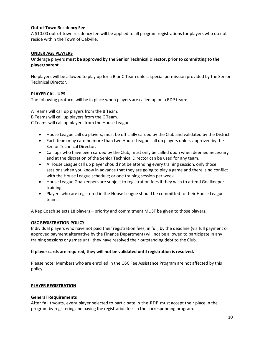## **Out-of-Town Residency Fee**

A \$10.00 out-of-town residency fee will be applied to all program registrations for players who do not reside within the Town of Oakville.

#### <span id="page-9-0"></span>**UNDER AGE PLAYERS**

Underage players **must be approved by the Senior Technical Director, prior to committing to the player/parent.** 

No players will be allowed to play up for a B or C Team unless special permission provided by the Senior Technical Director.

### <span id="page-9-1"></span>**PLAYER CALL UPS**

The following protocol will be in place when players are called up on a RDP team:

A Teams will call up players from the B Team.

B Teams will call up players from the C Team.

C Teams will call up players from the House League.

- House League call up players, must be officially carded by the Club and validated by the District
- Each team may card no more than two House League call up players unless approved by the Senior Technical Director.
- Call ups who have been carded by the Club, must only be called upon when deemed necessary and at the discretion of the Senior Technical Director can be used for any team.
- A House League call up player should not be attending every training session, only those sessions when you know in advance that they are going to play a game and there is no conflict with the House League schedule; or one training session per week.
- House League Goalkeepers are subject to registration fees if they wish to attend Goalkeeper training.
- Players who are registered in the House League should be committed to their House League team.

A Rep Coach selects 18 players – priority and commitment MUST be given to those players.

#### <span id="page-9-2"></span>**OSC REGISTRATION POLICY**

Individual players who have not paid their registration fees, in full, by the deadline (via full payment or approved payment alternative by the Finance Department) will not be allowed to participate in any training sessions or games until they have resolved their outstanding debt to the Club.

#### **If player cards are required, they will not be validated until registration is resolved.**

Please note: Members who are enrolled in the OSC Fee Assistance Program are not affected by this policy.

#### <span id="page-9-3"></span>**PLAYER REGISTRATION**

#### **General Requirements**

After fall tryouts, every player selected to participate in the RDP must accept their place in the program by registering and paying the registration fees in the corresponding program.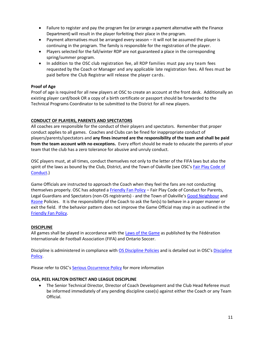- Failure to register and pay the program fee (or arrange a payment alternative with the Finance Department) will result in the player forfeiting their place in the program.
- Payment alternatives must be arranged every season it will not be assumed the player is continuing in the program. The family is responsible for the registration of the player.
- Players selected for the fall/winter RDP are not guaranteed a place in the corresponding spring/summer program.
- In addition to the OSC club registration fee, all RDP families must pay any team fees requested by the Coach or Manager and any applicable late registration fees. All fees must be paid before the Club Registrar will release the player cards.

## **Proof of Age**

Proof of age is required for all new players at OSC to create an account at the front desk. Additionally an existing player card/book OR a copy of a birth certificate or passport should be forwarded to the Technical Programs Coordinator to be submitted to the District for all new players.

### <span id="page-10-0"></span>**CONDUCT OF PLAYERS, PARENTS AND SPECTATORS**

All coaches are responsible for the conduct of their players and spectators. Remember that proper conduct applies to all games. Coaches and Clubs can be fined for inappropriate conduct of players/parents/spectators and **any fines incurred are the responsibility of the team and shall be paid from the team account with no exceptions.** Every effort should be made to educate the parents of your team that the club has a zero tolerance for abusive and unruly conduct.

OSC players must, at all times, conduct themselves not only to the letter of the FIFA laws but also the spirit of the laws as bound by the Club, District, and the Town of Oakville (see OSC's Fair Play Code of [Conduct.](http://www.oakvillesoccer.ca/images/publications/2015/Club-Info/osc-fair-play-code-of-conduct.pdf))

Game Officials are instructed to approach the Coach when they feel the fans are not conducting themselves properly. OSC has adopted a [Friendly Fan Policy](http://www.oakvillesoccer.ca/images/publications/2015/Club-Info/osc-friendly-fan-policy.pdf) – Fair Play Code of Conduct for Parents, Legal Guardians and Spectators (non-OS registrants) - and the Town of Oakville's [Good Neighbour](http://www.oakville.ca/townhall/nr-14jul16_1.html) and [Rzone](http://www.oakville.ca/townhall/hr-mng-008-001.html) Policies. It is the responsibility of the Coach to ask the fan(s) to behave in a proper manner or exit the field. If the behavior pattern does not improve the Game Official may step in as outlined in the [Friendly Fan Policy.](http://www.oakvillesoccer.ca/images/publications/2015/Club-Info/osc-friendly-fan-policy.pdf)

#### <span id="page-10-1"></span>**DISCIPLINE**

All games shall be played in accordance with th[e Laws of the Game](http://www.fifa.com/mm/document/footballdevelopment/refereeing/02/79/92/44/laws.of.the.game.2016.2017_neutral.pdf) as published by the Fédération Internationale de Football Association (FIFA) and Ontario Soccer.

Discipline is administered in compliance with OS [Discipline Policies](http://www.ontariosoccer.net/images/publications/2014/governing-documents/Section-12-Discipline.pdf) and is detailed out in OSC's [Discipline](http://www.oakvillesoccer.ca/images/publications/2015/Club-Info/osc-discipline-policy.pdf)  [Policy.](http://www.oakvillesoccer.ca/images/publications/2015/Club-Info/osc-discipline-policy.pdf)

Please refer to OSC's [Serious Occurrence Policy](http://www.oakvillesoccer.ca/images/publications/2016/club-info/org-policies/osc-serious-occurance-policy-2016.pdf) for more information

#### **OSA, PEEL HALTON DISTRICT AND LEAGUE DISCIPLINE**

 The Senior Technical Director, Director of Coach Development and the Club Head Referee must be informed immediately of any pending discipline case(s) against either the Coach or any Team Official.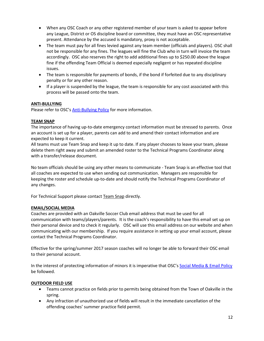- When any OSC Coach or any other registered member of your team is asked to appear before any League, District or OS discipline board or committee, they must have an OSC representative present. Attendance by the accused is mandatory, proxy is not acceptable.
- The team must pay for all fines levied against any team member (officials and players). OSC shall not be responsible for any fines. The leagues will fine the Club who in turn will invoice the team accordingly. OSC also reserves the right to add additional fines up to \$250.00 above the league fine if the offending Team Official is deemed especially negligent or has repeated discipline issues.
- The team is responsible for payments of bonds, if the bond if forfeited due to any disciplinary penalty or for any other reason.
- If a player is suspended by the league, the team is responsible for any cost associated with this process will be passed onto the team.

## <span id="page-11-0"></span>**ANTI-BULLYING**

Please refer to OSC's [Anti-Bullying Policy](http://www.oakvillesoccer.ca/images/publications/2015/Club-Info/osc-anti-bullying-policy.pdf) for more information.

### <span id="page-11-1"></span>**TEAM SNAP**

The importance of having up-to-date emergency contact information must be stressed to parents. Once an account is set up for a player, parents can add to and amend their contact information and are expected to keep it current.

All teams must use Team Snap and keep it up to date. If any player chooses to leave your team, please delete them right away and submit an amended roster to the Technical Programs Coordinator along with a transfer/release document.

No team officials should be using any other means to communicate - Team Snap is an effective tool that all coaches are expected to use when sending out communication. Managers are responsible for keeping the roster and schedule up-to-date and should notify the Technical Programs Coordinator of any changes.

For Technical Support please contact Team Snap directly.

#### <span id="page-11-2"></span>**EMAIL/SOCIAL MEDIA**

Coaches are provided with an Oakville Soccer Club email address that must be used for all communication with teams/players/parents. It is the coach's responsibility to have this email set up on their personal device and to check it regularly. OSC will use this email address on our website and when communicating with our membership. If you require assistance in setting up your email account, please contact the Technical Programs Coordinator.

Effective for the spring/summer 2017 season coaches will no longer be able to forward their OSC email to their personal account.

In the interest of protecting information of minors it is imperative that OSC's [Social Media & Email Policy](http://www.oakvillesoccer.ca/images/publications/2015/Club-Info/osc-social-media-and-email-policy.pdf) be followed.

#### <span id="page-11-3"></span>**OUTDOOR FIELD USE**

- Teams cannot practice on fields prior to permits being obtained from the Town of Oakville in the spring.
- Any infraction of unauthorized use of fields will result in the immediate cancellation of the offending coaches' summer practice field permit.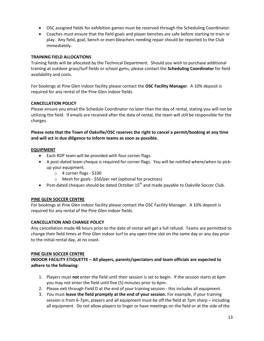- OSC assigned fields for exhibition games must be reserved through the Scheduling Coordinator.
- Coaches must ensure that the field goals and player benches are safe before starting to train or play. Any field, goal, bench or even bleachers needing repair should be reported to the Club immediately.

## **TRAINING FIELD ALLOCATIONS**

Training fields will be allocated by the Technical Department. Should you wish to purchase additional training at outdoor grass/turf fields or school gyms, please contact the **Scheduling Coordinator** for field availability and costs.

For bookings at Pine Glen indoor facility please contact the **OSC Facility Manager**. A 10% deposit is required for any rental of the Pine Glen indoor fields.

### **CANCELLATION POLICY**

Please ensure you email the Schedule Coordinator no later than the day of rental, stating you will not be utilizing the field. If emails are received after the date of rental, the team will still be responsible for the charges.

**Please note that the Town of Oakville/OSC reserves the right to cancel a permit/booking at any time and will act in due diligence to inform teams as soon as possible.**

### **EQUIPMENT**

- Each RDP team will be provided with four corner flags.
- A post-dated team cheque is required for corner flags. You will be notified where/when to pickup your equipment.
	- $\circ$  4 corner flags \$100
	- o Mesh for goals \$50/per net (optional for practices)
- Post-dated cheques should be dated October  $15<sup>th</sup>$  and made payable to Oakville Soccer Club.

#### <span id="page-12-0"></span>**PINE GLEN SOCCER CENTRE**

For bookings at Pine Glen indoor facility please contact the OSC Facility Manager. A 10% deposit is required for any rental of the Pine Glen indoor fields.

#### **CANCELLATION AND CHANGE POLICY**

Any cancellation made 48 hours prior to the date of rental will get a full refund. Teams are permitted to change their field times at Pine Glen indoor turf to any open time slot on the same day or any day prior to the initial rental day, at no coast.

#### **PINE GLEN SOCCER CENTRE**

**INDOOR FACILITY ETIQUETTE – All players, parents/spectators and team officials are expected to adhere to the following:**

- 1. Players must **not** enter the field until their session is set to begin. If the session starts at 6pm you may not enter the field until five (5) minutes prior to 6pm.
- 2. Please exit through Field D at the end of your training session this includes all equipment.
- 3. You must **leave the field promptly at the end of your session.** For example, if your training session is from 6-7pm, players and all equipment must be off the field at 7pm sharp – including all equipment. Do not allow players to linger or have meetings on the field or at the side of the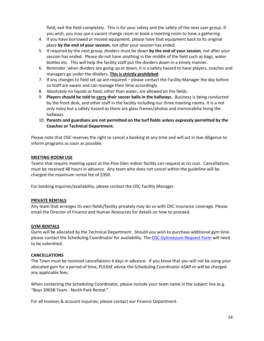field; exit the field completely. This is for your safety and the safety of the next user group. If you wish, you may use a vacant change room or book a meeting room to have a gathering.

- 4. If you have borrowed or moved equipment, please have that equipment back to its original place **by the end of your session,** not *after* your session has ended.
- 5. If required by the next group, dividers must be down **by the end of your session**, not after your session has ended. Please do not have anything in the middle of the field such as bags, water bottles etc. This will help the facility staff put the dividers down in a timely manner.
- 6. Reminder: when dividers are going up or down, it is a safety hazard to have players, coaches and managers go under the dividers. **This is strictly prohibited**.
- 7. If any changes to field set up are required please contact the Facility Manager the day before so Staff are aware and can manage their time accordingly.
- 8. Absolutely no liquids or food, other than water, are allowed on the fields.
- 9. **Players should be told to carry their soccer balls in the hallways.** Business is being conducted by the front desk, and other staff in the facility including our three meeting rooms. It is a not only noisy but a safety hazard as there are glass frames/photos and memorabilia lining the hallways.
- 10. **Parents and guardians are not permitted on the turf fields unless expressly permitted by the Coaches or Technical Department.**

Please note that OSC reserves the right to cancel a booking at any time and will act in due diligence to inform programs as soon as possible.

### <span id="page-13-0"></span>**MEETING ROOM USE**

Teams that require meeting space at the Pine Glen indoor facility can request at no cost. Cancellations must be received 48 hours in advance. Any team who does not cancel within the guideline will be charged the maximum rental fee of \$350.

For booking inquiries/availability, please contact the OSC Facility Manager.

#### <span id="page-13-1"></span>**PRIVATE RENTALS**

Any team that arranges its own fields/facility privately may do so with OSC insurance coverage. Please email the Director of Finance and Human Resources for details on how to proceed.

#### <span id="page-13-2"></span>**GYM RENTALS**

Gyms will be allocated by the Technical Department. Should you wish to purchase additional gym time please contact the Scheduling Coordinator for availability. The [OSC Gymnasium Request Form](http://www.oakvillesoccer.ca/images/publications/2016/ADP-RDP/docs&forms/gym-rental-request-form.pdf) will need to be submitted.

#### **CANCELLATIONS**

The Town must be received cancellations 4 days in advance. If you know that you will not be using your allocated gym for a period of time, PLEASE advise the Scheduling Coordinator ASAP or will be charged any applicable fees.

When contacting the Scheduling Coordinator, please include your team name in the subject line (e.g. "Boys 2003B Team - North Park Rental."

For all invoices & account inquiries, please contact our Finance Department.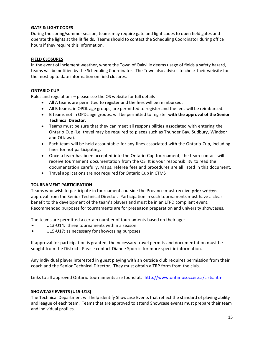## <span id="page-14-0"></span>**GATE & LIGHT CODES**

During the spring/summer season, teams may require gate and light codes to open field gates and operate the lights at the lit fields. Teams should to contact the Scheduling Coordinator during office hours if they require this information.

## <span id="page-14-1"></span>**FIELD CLOSURES**

In the event of inclement weather, where the Town of Oakville deems usage of fields a safety hazard, teams will be notified by the Scheduling Coordinator. The Town also advises to check their website for the most up to date information on field closures.

### <span id="page-14-2"></span>**ONTARIO CUP**

Rules and regulations – please see the OS website for full details

- All A teams are permitted to register and the fees will be reimbursed.
- All B teams, in OPDL age groups, are permitted to register and the fees will be reimbursed.
- B teams not in OPDL age groups, will be permitted to register **with the approval of the Senior Technical Director**.
- Teams must be sure that they can meet all responsibilities associated with entering the Ontario Cup (i.e. travel may be required to places such as Thunder Bay, Sudbury, Windsor and Ottawa).
- Each team will be held accountable for any fines associated with the Ontario Cup, including fines for not participating.
- Once a team has been accepted into the Ontario Cup tournament, the team contact will receive tournament documentation from the OS. It is your responsibility to read the documentation carefully. Maps, referee fees and procedures are all listed in this document.
- Travel applications are not required for Ontario Cup in CTMS

#### **TOURNAMENT PARTICIPATION**

Teams who wish to participate in tournaments outside the Province must receive prior written approval from the Senior Technical Director. Participation in such tournaments must have a clear benefit to the development of the team's players and must be in an LTPD compliant event. Recommended purposes for tournaments are for preseason preparation and university showcases.

The teams are permitted a certain number of tournaments based on their age:

- U13-U14: three tournaments within a season
- U15-U17: as necessary for showcasing purposes

If approval for participation is granted, the necessary travel permits and documentation must be sought from the District. Please contact Dianne Sporcic for more specific information.

Any individual player interested in guest playing with an outside club requires permission from their coach and the Senior Technical Director. They must obtain a TRP form from the club.

Links to all approved Ontario tournaments are found at: <http://www.ontariosoccer.ca/Lists.htm>

## <span id="page-14-3"></span>**SHOWCASE EVENTS (U15-U18)**

The Technical Department will help identify Showcase Events that reflect the standard of playing ability and league of each team. Teams that are approved to attend Showcase events must prepare their team and individual profiles.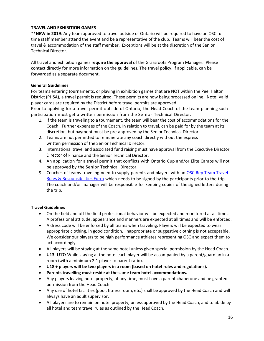## **TRAVEL AND EXHIBITION GAMES**

\*\***NEW in 2019**: Any team approved to travel outside of Ontario will be required to have an OSC fulltime staff member attend the event and be a representative of the club. Teams will bear the cost of travel & accommodation of the staff member. Exceptions will be at the discretion of the Senior Technical Director.

All travel and exhibition games **require the approval** of the Grassroots Program Manager. Please contact directly for more information on the guidelines. The travel policy, if applicable, can be forwarded as a separate document.

#### **General Guidelines**

For teams entering tournaments, or playing in exhibition games that are NOT within the Peel Halton District (PHSA), a travel permit is required. These permits are now being processed online. Note: Valid player cards are required by the District before travel permits are approved.

Prior to applying for a travel permit outside of Ontario, the Head Coach of the team planning such participation must get a written permission from the Senior Technical Director.

- 1. If the team is traveling to a tournament, the team will bear the cost of accommodations for the Coach. Further expenses of the Coach, in relation to travel, can be paid for by the team at its discretion, but payment must be pre-approved by the Senior Technical Director.
- 2. Teams are not permitted to remunerate any coach directly without the express written permission of the Senior Technical Director.
- 3. International travel and associated fund raising must have approval from the Executive Director, Director of Finance and the Senior Technical Director.
- 4. An application for a travel permit that conflicts with Ontario Cup and/or Elite Camps will not be approved by the Senior Technical Director.
- 5. Coaches of teams traveling need to supply parents and players with an OSC Rep Team Travel [Rules & Responsibilities Form](http://www.oakvillesoccer.ca/images/publications/2017/adp-rdp/policies-documents/osc-rep-team-travel-rules-&-responsibilities-form.pdf) which needs to be signed by the participants prior to the trip. The coach and/or manager will be responsible for keeping copies of the signed letters during the trip.

## **Travel Guidelines**

- On the field and off the field professional behavior will be expected and monitored at all times. A professional attitude, appearance and manners are expected at all times and will be enforced.
- A dress code will be enforced by all teams when traveling. Players will be expected to wear appropriate clothing, in good condition. Inappropriate or suggestive clothing is not acceptable. We consider our players to be high performance athletes representing OSC and expect them to act accordingly.
- All players will be staying at the same hotel unless given special permission by the Head Coach.
- **U13–U17:** While staying at the hotel each player will be accompanied by a parent/guardian in a room (with a minimum 2:1 player to parent ratio).
- **U18 + players will be two players in a room (based on hotel rules and regulations).**
- **Parents travelling must reside at the same team hotel accommodations.**
- Any players leaving hotel property, at any time, must have a parent chaperone and be granted permission from the Head Coach.
- Any use of hotel facilities (pool, fitness room, etc.) shall be approved by the Head Coach and will always have an adult supervisor.
- All players are to remain on hotel property, unless approved by the Head Coach, and to abide by all hotel and team travel rules as outlined by the Head Coach.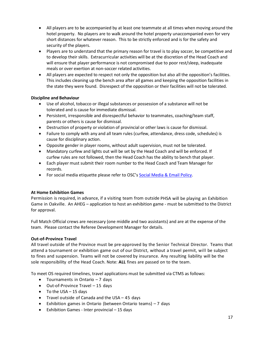- All players are to be accompanied by at least one teammate at all times when moving around the hotel property. No players are to walk around the hotel property unaccompanied even for very short distances for whatever reason. This to be strictly enforced and is for the safety and security of the players.
- Players are to understand that the primary reason for travel is to play soccer, be competitive and to develop their skills. Extracurricular activities will be at the discretion of the Head Coach and will ensure that player performance is not compromised due to poor rest/sleep, inadequate meals or over exertion at non-soccer related activities.
- All players are expected to respect not only the opposition but also all the opposition's facilities. This includes cleaning up the bench area after all games and keeping the opposition facilities in the state they were found. Disrespect of the opposition or their facilities will not be tolerated.

## **Discipline and Behaviour**

- Use of alcohol, tobacco or illegal substances or possession of a substance will not be tolerated and is cause for immediate dismissal.
- Persistent, irresponsible and disrespectful behavior to teammates, coaching/team staff, parents or others is cause for dismissal.
- Destruction of property or violation of provincial or other laws is cause for dismissal.
- Failure to comply with any and all team rules (curfew, attendance, dress code, schedules) is cause for disciplinary action.
- Opposite gender in player rooms, without adult supervision, must not be tolerated.
- Mandatory curfew and lights out will be set by the Head Coach and will be enforced. If curfew rules are not followed, then the Head Coach has the ability to bench that player.
- Each player must submit their room number to the Head Coach and Team Manager for records.
- For social media etiquette please refer to OSC's [Social Media & Email Policy.](http://www.oakvillesoccer.ca/images/publications/2015/Club-Info/osc-social-media-and-email-policy.pdf)

## **At Home Exhibition Games**

Permission is required, in advance, if a visiting team from outside PHSA will be playing an Exhibition Game in Oakville. An AHEG – application to host an exhibition game - must be submitted to the District for approval.

Full Match Official crews are necessary (one middle and two assistants) and are at the expense of the team. Please contact the Referee Development Manager for details.

## **Out-of-Province Travel**

All travel outside of the Province must be pre-approved by the Senior Technical Director. Teams that attend a tournament or exhibition game out of our District, without a travel permit, will be subject to fines and suspension. Teams will not be covered by insurance. Any resulting liability will be the sole responsibility of the Head Coach. Note: **ALL** fines are passed on to the team.

To meet OS required timelines, travel applications must be submitted via CTMS as follows:

- Tournaments in Ontario 7 days
- $\bullet$  Out-of-Province Travel  $-15$  days
- $\bullet$  To the USA 15 days
- Travel outside of Canada and the USA 45 days
- Exhibition games in Ontario (between Ontario teams) 7 days
- Exhibition Games Inter provincial 15 days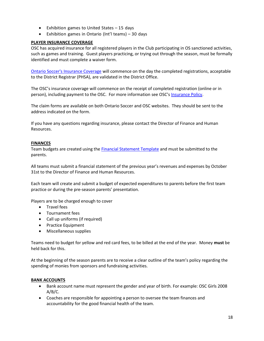- Exhibition games to United States 15 days
- Exhibition games in Ontario (Int'l teams) 30 days

## <span id="page-17-0"></span>**PLAYER INSURANCE COVERAGE**

OSC has acquired insurance for all registered players in the Club participating in OS sanctioned activities, such as games and training. Guest players practicing, or trying out through the season, must be formally identified and must complete a waiver form.

Ontario Soccer's [Insurance Coverage](https://www.hubinternational.com/programs-associations/ontario-soccer-association/) will commence on the day the completed registrations, acceptable to the District Registrar (PHSA), are validated in the District Office.

The OSC's insurance coverage will commence on the receipt of completed registration (online or in person), including payment to the OSC. For more information see OSC's [Insurance Policy.](http://www.oakvillesoccer.ca/images/publications/2015/Club-Info/osc-insurance-policy.pdf)

The claim forms are available on both Ontario Soccer and OSC websites. They should be sent to the address indicated on the form.

If you have any questions regarding insurance, please contact the Director of Finance and Human Resources.

#### <span id="page-17-1"></span>**FINANCES**

Team budgets are created using the [Financial Statement Template](http://www.oakvillesoccer.ca/images/publications/2017/adp-rdp/team-financial-template.xlsx) and must be submitted to the parents.

All teams must submit a financial statement of the previous year's revenues and expenses by October 31st to the Director of Finance and Human Resources.

Each team will create and submit a budget of expected expenditures to parents before the first team practice or during the pre-season parents' presentation.

Players are to be charged enough to cover

- **•** Travel fees
- Tournament fees
- Call up uniforms (if required)
- Practice Equipment
- Miscellaneous supplies

Teams need to budget for yellow and red card fees, to be billed at the end of the year. Money **must** be held back for this.

At the beginning of the season parents are to receive a clear outline of the team's policy regarding the spending of monies from sponsors and fundraising activities.

#### <span id="page-17-2"></span>**BANK ACCOUNTS**

- Bank account name must represent the gender and year of birth. For example: OSC Girls 2008 A/B/C.
- Coaches are responsible for appointing a person to oversee the team finances and accountability for the good financial health of the team.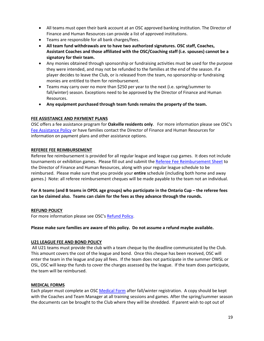- All teams must open their bank account at an OSC approved banking institution. The Director of Finance and Human Resources can provide a list of approved institutions.
- Teams are responsible for all bank charges/fees.
- **All team fund withdrawals are to have two authorized signatures. OSC staff, Coaches, Assistant Coaches and those affiliated with the OSC/Coaching staff (i.e. spouses) cannot be a signatory for their team.**
- Any monies obtained through sponsorship or fundraising activities must be used for the purpose they were intended, and may not be refunded to the families at the end of the season. If a player decides to leave the Club, or is released from the team, no sponsorship or fundraising monies are entitled to them for reimbursement.
- Teams may carry over no more than \$250 per year to the next (i.e. spring/summer to fall/winter) season. Exceptions need to be approved by the Director of Finance and Human Resources.
- **Any equipment purchased through team funds remains the property of the team.**

### <span id="page-18-0"></span>**FEE ASSISTANCE AND PAYMENT PLANS**

OSC offers a fee assistance program for **Oakville residents only**. For more information please see OSC's [Fee Assistance Policy](http://www.oakvillesoccer.ca/images/publications/2015/Club-Info/osc-fee-assistance-policy.pdf) or have families contact the Director of Finance and Human Resources for information on payment plans and other assistance options.

### <span id="page-18-1"></span>**REFEREE FEE REIMBURSEMENT**

Referee fee reimbursement is provided for all regular league and league cup games. It does not include tournaments or exhibition games. Please fill out and submit the [Referee Fee Reimbursement Sheet](http://www.oakvillesoccer.ca/images/publications/2015/ADP-RDP/Docs-Forms/2015rep_ref_feereimbursement.pdf) to the Director of Finance and Human Resources, along with your regular league schedule to be reimbursed. Please make sure that you provide your **entire** schedule (including both home and away games.) Note: all referee reimbursement cheques will be made payable to the team not an individual.

**For A teams (and B teams in OPDL age groups) who participate in the Ontario Cup – the referee fees can be claimed also. Teams can claim for the fees as they advance through the rounds.**

#### <span id="page-18-2"></span>**REFUND POLICY**

For more information please see OSC's [Refund Policy.](http://www.oakvillesoccer.ca/images/publications/2015/Documents-Forms/osc-refund-policy.pdf)

**Please make sure families are aware of this policy. Do not assume a refund maybe available.**

#### <span id="page-18-3"></span>**U21 LEAGUE FEE AND BOND POLICY**

All U21 teams must provide the club with a team cheque by the deadline communicated by the Club. This amount covers the cost of the league and bond. Once this cheque has been received, OSC will enter the team in the league and pay all fees. If the team does not participate in the summer OWSL or OSL, OSC will keep the funds to cover the charges assessed by the league. If the team does participate, the team will be reimbursed.

#### <span id="page-18-4"></span>**MEDICAL FORMS**

Each player must complete an OSC [Medical Form](http://www.oakvillesoccer.ca/images/publications/2015/ADP-RDP/Docs-Forms/player-medical-form.pdf) after fall/winter registration. A copy should be kept with the Coaches and Team Manager at all training sessions and games. After the spring/summer season the documents can be brought to the Club where they will be shredded. If parent wish to opt out of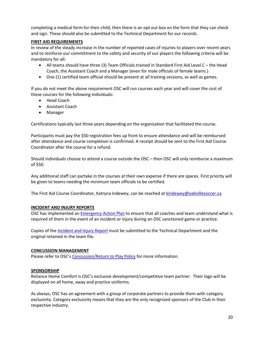completing a medical form for their child, then there is an opt out box on the form that they can check and sign. These should also be submitted to the Technical Department for our records.

#### <span id="page-19-0"></span>**FIRST AID REQUIREMENTS**

In review of the steady increase in the number of reported cases of injuries to players over recent years and to reinforce our commitment to the safety and security of our players the following criteria will be mandatory for all:

- All teams should have three (3) Team Officials trained in Standard First Aid Level C the Head Coach, the Assistant Coach and a Manager (even for male officials of female teams.)
- One (1) certified team official should be present at all training sessions, as well as games.

If you do not meet the above requirement OSC will run courses each year and will cover the cost of these courses for the following individuals:

- Head Coach
- Assistant Coach
- Manager

Certifications typically last three years depending on the organization that facilitated the course.

<span id="page-19-1"></span>Participants must pay the \$50 registration fees up front to ensure attendance and will be reimbursed after attendance and course completion is confirmed. A receipt should be sent to the First Aid Course Coordinator after the course for a refund.

Should individuals choose to attend a course outside the OSC – then OSC will only reimburse a maximum of \$50.

Any additional staff can partake in the courses at their own expense if there are spaces. First priority will be given to teams needing the minimum team officials to be certified.

The First Aid Course Coordinator, Katryna Indewey, can be reached a[t kindewey@oakvillesoccer.ca](mailto:kindewey@oakvillesoccer.ca)

#### **INCIDENT AND INJURY REPORTS**

OSC has implemented a[n Emergency Action Plan](http://www.oakvillesoccer.ca/images/publications/2016/club-info/org-policies/osc-coach-emergency-action-plan.pdf) to ensure that all coaches and team understand what is required of them in the event of an incident or injury during an OSC sanctioned game or practice.

Copies of the [Incident and Injury Report](http://www.oakvillesoccer.ca/images/publications/2015/Coaching-Resources/ADP-RDP/adp-rdp-incident-injury-report.pdf) must be submitted to the Technical Department and the original retained in the team file.

#### <span id="page-19-2"></span>**CONCUSSION MANAGEMENT**

Please refer to OSC's [Concussion/Return to Play Policy](http://www.oakvillesoccer.ca/images/publications/2016/club-info/org-policies/osc-concussion-return-to-play-protocol.pdf) for more information.

#### **SPONSORSHIP**

Reliance Home Comfort is OSC's exclusive development/competitive team partner. Their logo will be displayed on all home, away and practice uniforms.

As always, OSC has an agreement with a group of corporate partners to provide them with category exclusivity. Category exclusivity means that they are the only recognized sponsors of the Club in their respective industry.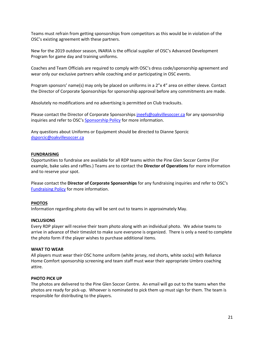Teams must refrain from getting sponsorships from competitors as this would be in violation of the OSC's existing agreement with these partners.

New for the 2019 outdoor season, INARIA is the official supplier of OSC's Advanced Development Program for game day and training uniforms.

Coaches and Team Officials are required to comply with OSC's dress code/sponsorship agreement and wear only our exclusive partners while coaching and or participating in OSC events.

Program sponsors' name(s) may only be placed on uniforms in a 2"x 4" area on either sleeve. Contact the Director of Corporate Sponsorships for sponsorship approval before any commitments are made.

Absolutely no modifications and no advertising is permitted on Club tracksuits.

Please contact the Director of Corporate Sponsorships [jneefs@oakvillesoccer.ca](mailto:jneefs@oakvillesoccer.ca) for any sponsorship inquiries and refer to OSC's [Sponsorship Policy](http://www.oakvillesoccer.ca/images/publications/2015/Documents-Forms/sponsorship-policy.pdf) for more information.

Any questions about Uniforms or Equipment should be directed to Dianne Sporcic [dsporcic@oakvillesoccer.ca](mailto:dsporcic@oakvillesoccer.ca)

#### <span id="page-20-0"></span>**FUNDRAISING**

Opportunities to fundraise are available for all RDP teams within the Pine Glen Soccer Centre (For example, bake sales and raffles.) Teams are to contact the **Director of Operations** for more information and to reserve your spot.

Please contact the **Director of Corporate Sponsorships** for any fundraising inquiries and refer to OSC's [Fundraising Policy](http://www.oakvillesoccer.ca/images/publications/2015/Documents-Forms/fundraising-policy.pdf) for more information.

#### <span id="page-20-1"></span>**PHOTOS**

Information regarding photo day will be sent out to teams in approximately May.

#### **INCLUSIONS**

Every RDP player will receive their team photo along with an individual photo. We advise teams to arrive in advance of their timeslot to make sure everyone is organized. There is only a need to complete the photo form if the player wishes to purchase additional items.

#### **WHAT TO WEAR**

All players must wear their OSC home uniform (white jersey, red shorts, white socks) with Reliance Home Comfort sponsorship screening and team staff must wear their appropriate Umbro coaching attire.

#### **PHOTO PICK UP**

The photos are delivered to the Pine Glen Soccer Centre. An email will go out to the teams when the photos are ready for pick-up. Whoever is nominated to pick them up must sign for them. The team is responsible for distributing to the players.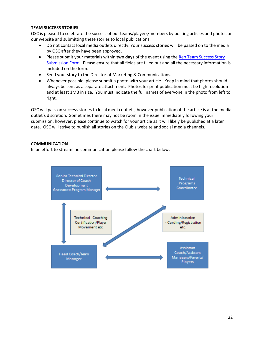#### <span id="page-21-0"></span>**TEAM SUCCESS STORIES**

OSC is pleased to celebrate the success of our teams/players/members by posting articles and photos on our website and submitting these stories to local publications.

- Do not contact local media outlets directly. Your success stories will be passed on to the media by OSC after they have been approved.
- Please submit your materials within **two days** of the event using th[e Rep Team Success Story](http://www.oakvillesoccer.ca/images/publications/2016/ADP-RDP/docs&forms/rep-team-success-story-submission-form.pdf)  [Submission Form.](http://www.oakvillesoccer.ca/images/publications/2016/ADP-RDP/docs&forms/rep-team-success-story-submission-form.pdf) Please ensure that all fields are filled out and all the necessary information is included on the form.
- Send your story to the Director of Marketing & Communications.
- Whenever possible, please submit a photo with your article. Keep in mind that photos should always be sent as a separate attachment. Photos for print publication must be high resolution and at least 1MB in size. You must indicate the full names of everyone in the photo from left to right.

OSC will pass on success stories to local media outlets, however publication of the article is at the media outlet's discretion. Sometimes there may not be room in the issue immediately following your submission, however, please continue to watch for your article as it will likely be published at a later date. OSC will strive to publish all stories on the Club's website and social media channels.

### <span id="page-21-1"></span>**COMMUNICATION**

In an effort to streamline communication please follow the chart below:

<span id="page-21-2"></span>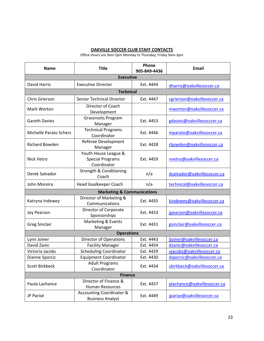## **OAKVILLE SOCCER CLUB STAFF CONTACTS**

Office Hours are 9am-5pm Monday to Thursday; Friday 9am-3pm

| <b>Name</b>                   | <b>Title</b>                                                   | Phone<br>905-849-4436 | <b>Email</b>                |  |  |  |
|-------------------------------|----------------------------------------------------------------|-----------------------|-----------------------------|--|--|--|
| <b>Executive</b>              |                                                                |                       |                             |  |  |  |
| David Harris                  | <b>Executive Director</b>                                      | Ext. 4444             | dharris@oakvillesoccer.ca   |  |  |  |
| <b>Technical</b>              |                                                                |                       |                             |  |  |  |
| Chris Grierson                | <b>Senior Technical Director</b>                               | Ext. 4447             | cgrierson@oakvillesoccer.ca |  |  |  |
| Mark Worton                   | Director of Coach<br>Development                               |                       | mworton@oakvillesoccer.ca   |  |  |  |
| <b>Gareth Davies</b>          | <b>Grassroots Program</b><br>Manager                           | Ext. 4453             | gdavies@oakvillesocccer.ca  |  |  |  |
| <b>Michelle Parato Schers</b> | <b>Technical Programs</b><br>Coordinator                       | Ext. 4446             | mparato@oakvillesoccer.ca   |  |  |  |
| <b>Richard Bowden</b>         | Referee Development<br>Manager                                 | Ext. 4428             | rbowden@oakvillesoccer.ca   |  |  |  |
| Nick Vetro                    | Youth House League &<br><b>Special Programs</b><br>Coordinator | Ext. 4459             | nvetro@oakvillesoccer.ca    |  |  |  |
| Derek Salvador                | Strength & Conditioning<br>Coach                               | n/a                   | dsalvador@oakvillesoccer.ca |  |  |  |
| John Moreira                  | Head Goalkeeper Coach                                          | n/a                   | technical@oakvillesoccer.ca |  |  |  |
|                               | <b>Marketing &amp; Communications</b>                          |                       |                             |  |  |  |
| Katryna Indewey               | Director of Marketing &<br>Communications                      | Ext. 4435             | kindewey@oakvillesoccer.ca  |  |  |  |
| <b>Joy Pearson</b>            | Director of Corporate<br>Sponsorships                          | Ext. 4433             | jpearson@oakvillesoccer.ca  |  |  |  |
| <b>Greg Sinclair</b>          | Marketing & Events<br>Manager                                  | Ext. 4431             | gsinclair@oakvillesoccer.ca |  |  |  |
| <b>Operations</b>             |                                                                |                       |                             |  |  |  |
| Lynn Joiner                   | <b>Director of Operations</b>                                  | Ext. 4443             | ljoiner@oakvillesoccer.ca   |  |  |  |
| David Zanic                   | <b>Facility Manager</b>                                        | Ext. 4454             | dzanic@oakvillesoccer.ca    |  |  |  |
| Victoria Jacobs               | <b>Scheduling Coordinator</b>                                  | Ext. 4429             | vjacobs@oakvillesoccer.ca   |  |  |  |
| Dianne Sporcic                | <b>Equipment Coordinator</b>                                   | Ext. 4430             | dsporcic@oakvillesoccer.ca  |  |  |  |
| <b>Scott Birkbeck</b>         | <b>Adult Programs</b><br>Coordinator                           | Ext. 4434             | sbirkbeck@oakvillesoccer.ca |  |  |  |
| <b>Finance</b>                |                                                                |                       |                             |  |  |  |
| Paula Lachance                | Director of Finance &<br><b>Human Resources</b>                | Ext. 4437             | plachance@oakvillesoccer.ca |  |  |  |
| JP Parisé                     | <b>Accounting Coordinator &amp;</b><br><b>Business Analyst</b> | Ext. 4449             | jparise@oakvillesoccer.ca   |  |  |  |